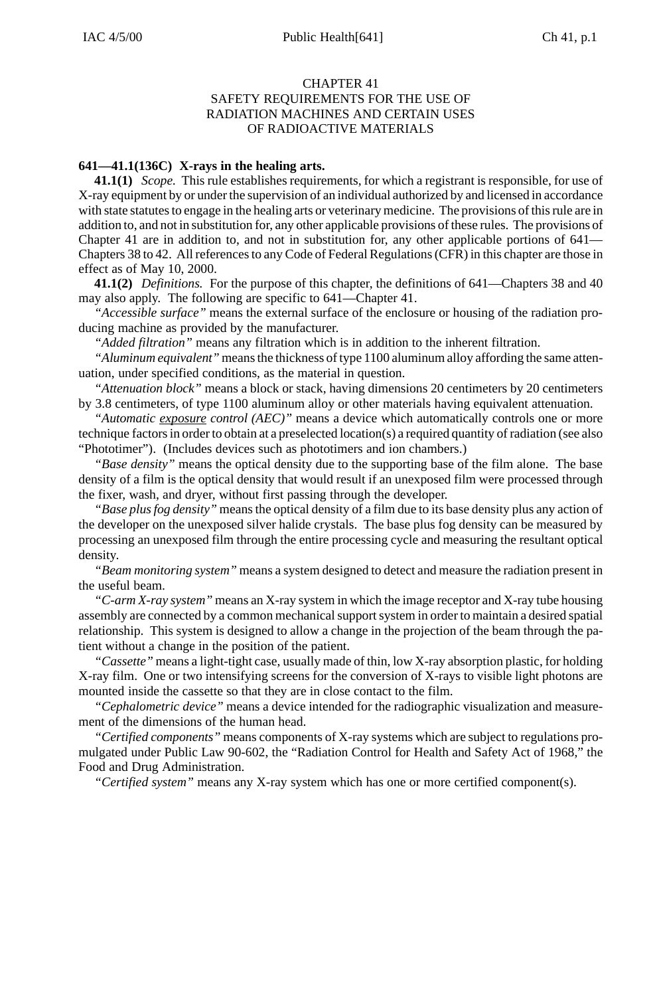## CHAPTER 41 SAFETY REQUIREMENTS FOR THE USE OF RADIATION MACHINES AND CERTAIN USES OF RADIOACTIVE MATERIALS

## **641—41.1(136C) X-rays in the healing arts.**

**41.1(1)** *Scope.* This rule establishes requirements, for which a registrant is responsible, for use of X-ray equipment by or under the supervision of an individual authorized by and licensed in accordance with state statutes to engage in the healing arts or veterinary medicine. The provisions of this rule are in addition to, and not in substitution for, any other applicable provisions of these rules. The provisions of Chapter 41 are in addition to, and not in substitution for, any other applicable portions of 641— Chapters 38 to 42. All references to any Code of Federal Regulations (CFR) in this chapter are those in effect as of May 10, 2000.

**41.1(2)** *Definitions.* For the purpose of this chapter, the definitions of 641—Chapters 38 and 40 may also apply. The following are specific to 641—Chapter 41.

*"Accessible surface"* means the external surface of the enclosure or housing of the radiation producing machine as provided by the manufacturer.

*"Added filtration"* means any filtration which is in addition to the inherent filtration.

*"Aluminum equivalent"* means the thickness of type 1100 aluminum alloy affording the same attenuation, under specified conditions, as the material in question.

*"Attenuation block"* means a block or stack, having dimensions 20 centimeters by 20 centimeters by 3.8 centimeters, of type 1100 aluminum alloy or other materials having equivalent attenuation.

*"Automatic exposure control (AEC)"* means a device which automatically controls one or more technique factors in order to obtain at a preselected location(s) a required quantity of radiation (see also "Phototimer"). (Includes devices such as phototimers and ion chambers.)

*"Base density"* means the optical density due to the supporting base of the film alone. The base density of a film is the optical density that would result if an unexposed film were processed through the fixer, wash, and dryer, without first passing through the developer.

*"Base plus fog density"* means the optical density of a film due to its base density plus any action of the developer on the unexposed silver halide crystals. The base plus fog density can be measured by processing an unexposed film through the entire processing cycle and measuring the resultant optical density.

*"Beam monitoring system"* means a system designed to detect and measure the radiation present in the useful beam.

*"C-arm X-ray system"* means an X-ray system in which the image receptor and X-ray tube housing assembly are connected by a common mechanical support system in order to maintain a desired spatial relationship. This system is designed to allow a change in the projection of the beam through the patient without a change in the position of the patient.

*"Cassette"* means a light-tight case, usually made of thin, low X-ray absorption plastic, for holding X-ray film. One or two intensifying screens for the conversion of X-rays to visible light photons are mounted inside the cassette so that they are in close contact to the film.

*"Cephalometric device"* means a device intended for the radiographic visualization and measurement of the dimensions of the human head.

*"Certified components"* means components of X-ray systems which are subject to regulations promulgated under Public Law 90-602, the "Radiation Control for Health and Safety Act of 1968," the Food and Drug Administration.

*"Certified system"* means any X-ray system which has one or more certified component(s).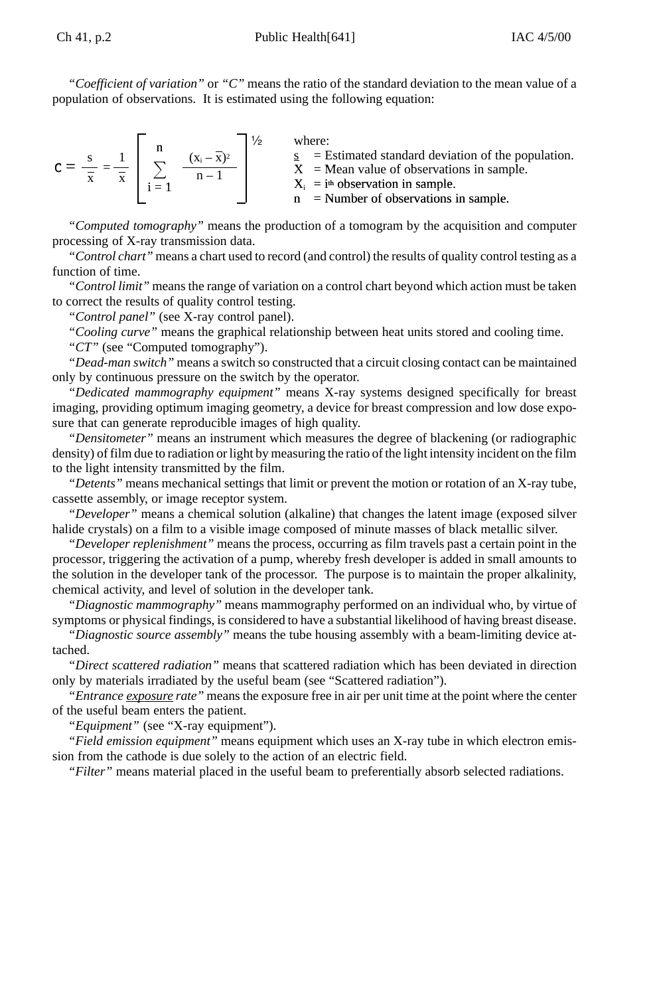*"Coefficient of variation"* or *"C"* means the ratio of the standard deviation to the mean value of a population of observations. It is estimated using the following equation:

$$
C = \frac{s}{\overline{x}} = \frac{1}{\overline{x}} \left[ \begin{array}{ccc} n & (x_i - \overline{x})^2 \\ \sum_{i = 1} & n - 1 \end{array} \right]^{1/2}
$$
 where:  

$$
\sum_{i = 1}^{S} \sum_{n = 1}^{S} \sum_{i = 1}^{S} \sum_{j = 1}^{S} \sum_{i = 1}^{S} \sum_{j = 1}^{S} \sum_{j = 1}^{S} \sum_{j = 1}^{S} \sum_{j = 1}^{S} \sum_{j = 1}^{S} \sum_{j = 1}^{S} \sum_{j = 1}^{S} \sum_{j = 1}^{S} \sum_{j = 1}^{S} \sum_{j = 1}^{S} \sum_{j = 1}^{S} \sum_{j = 1}^{S} \sum_{j = 1}^{S} \sum_{j = 1}^{S} \sum_{j = 1}^{S} \sum_{j = 1}^{S} \sum_{j = 1}^{S} \sum_{j = 1}^{S} \sum_{j = 1}^{S} \sum_{j = 1}^{S} \sum_{j = 1}^{S} \sum_{j = 1}^{S} \sum_{j = 1}^{S} \sum_{j = 1}^{S} \sum_{j = 1}^{S} \sum_{j = 1}^{S} \sum_{j = 1}^{S} \sum_{j = 1}^{S} \sum_{j = 1}^{S} \sum_{j = 1}^{S} \sum_{j = 1}^{S} \sum_{j = 1}^{S} \sum_{j = 1}^{S} \sum_{j = 1}^{S} \sum_{j = 1}^{S} \sum_{j = 1}^{S} \sum_{j = 1}^{S} \sum_{j = 1}^{S} \sum_{j = 1}^{S} \sum_{j = 1}^{S} \sum_{j = 1}^{S} \sum_{j = 1}^{S} \sum_{j = 1}^{S} \sum_{j = 1}^{S} \sum_{j = 1}^{S} \sum_{j = 1}^{S} \sum_{j = 1}^{S} \sum_{j = 1}^{S} \sum_{j = 1}^{S} \sum_{j = 1}^{S} \sum_{j = 1}^{S} \sum_{j = 1}^{S} \sum_{j = 1}^{S} \sum_{j = 1}^{S} \sum_{j = 1}^{S} \sum_{j = 1}^{S} \sum_{j =
$$

*"Computed tomography"* means the production of a tomogram by the acquisition and computer processing of X-ray transmission data.

*"Control chart"* means a chart used to record (and control) the results of quality control testing as a function of time.

*"Control limit"* means the range of variation on a control chart beyond which action must be taken to correct the results of quality control testing.

*"Control panel"* (see X-ray control panel).

*"Cooling curve"* means the graphical relationship between heat units stored and cooling time.

*"CT"* (see "Computed tomography").

*"Dead-man switch"* means a switch so constructed that a circuit closing contact can be maintained only by continuous pressure on the switch by the operator.

*"Dedicated mammography equipment"* means X-ray systems designed specifically for breast imaging, providing optimum imaging geometry, a device for breast compression and low dose exposure that can generate reproducible images of high quality.

*"Densitometer"* means an instrument which measures the degree of blackening (or radiographic density) of film due to radiation or light by measuring the ratio of the light intensity incident on the film to the light intensity transmitted by the film.

*"Detents"* means mechanical settings that limit or prevent the motion or rotation of an X-ray tube, cassette assembly, or image receptor system.

*"Developer"* means a chemical solution (alkaline) that changes the latent image (exposed silver halide crystals) on a film to a visible image composed of minute masses of black metallic silver.

*"Developer replenishment"* means the process, occurring as film travels past a certain point in the processor, triggering the activation of a pump, whereby fresh developer is added in small amounts to the solution in the developer tank of the processor. The purpose is to maintain the proper alkalinity, chemical activity, and level of solution in the developer tank.

*"Diagnostic mammography"* means mammography performed on an individual who, by virtue of symptoms or physical findings, is considered to have a substantial likelihood of having breast disease.

*"Diagnostic source assembly"* means the tube housing assembly with a beam-limiting device attached.

*"Direct scattered radiation"* means that scattered radiation which has been deviated in direction only by materials irradiated by the useful beam (see "Scattered radiation").

*"Entrance exposure rate"* means the exposure free in air per unit time at the point where the center of the useful beam enters the patient.

*"Equipment"* (see "X-ray equipment").

*"Field emission equipment"* means equipment which uses an X-ray tube in which electron emission from the cathode is due solely to the action of an electric field.

*"Filter"* means material placed in the useful beam to preferentially absorb selected radiations.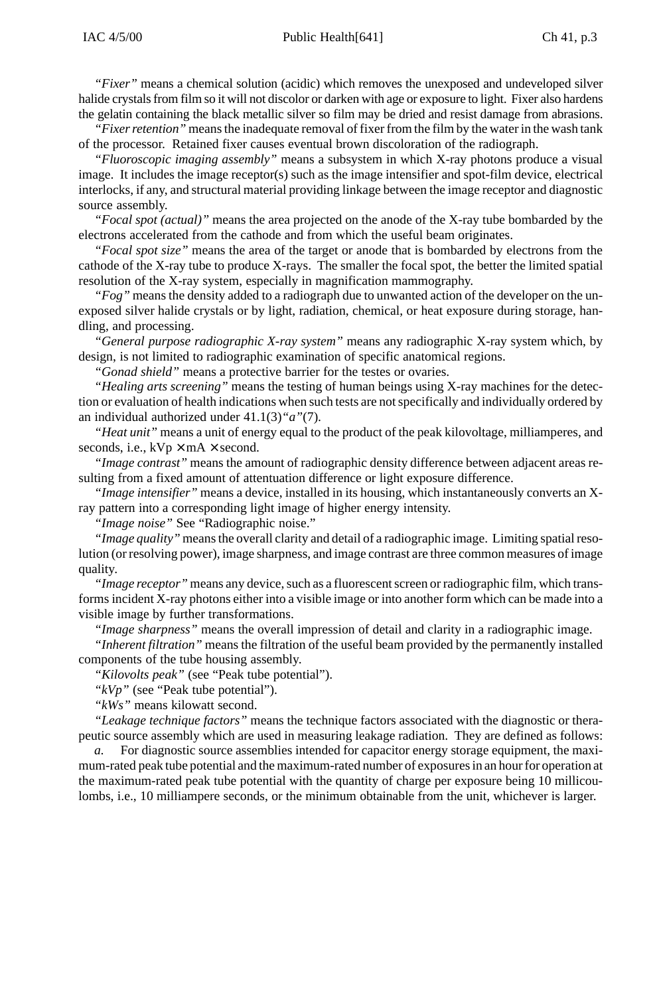*"Fixer"* means a chemical solution (acidic) which removes the unexposed and undeveloped silver halide crystals from film so it will not discolor or darken with age or exposure to light. Fixer also hardens the gelatin containing the black metallic silver so film may be dried and resist damage from abrasions.

*"Fixer retention"* means the inadequate removal of fixer from the film by the water in the wash tank of the processor. Retained fixer causes eventual brown discoloration of the radiograph.

*"Fluoroscopic imaging assembly"* means a subsystem in which X-ray photons produce a visual image. It includes the image receptor(s) such as the image intensifier and spot-film device, electrical interlocks, if any, and structural material providing linkage between the image receptor and diagnostic source assembly.

*"Focal spot (actual)"* means the area projected on the anode of the X-ray tube bombarded by the electrons accelerated from the cathode and from which the useful beam originates.

*"Focal spot size"* means the area of the target or anode that is bombarded by electrons from the cathode of the X-ray tube to produce X-rays. The smaller the focal spot, the better the limited spatial resolution of the X-ray system, especially in magnification mammography.

*"Fog"* means the density added to a radiograph due to unwanted action of the developer on the unexposed silver halide crystals or by light, radiation, chemical, or heat exposure during storage, handling, and processing.

*"General purpose radiographic X-ray system"* means any radiographic X-ray system which, by design, is not limited to radiographic examination of specific anatomical regions.

*"Gonad shield"* means a protective barrier for the testes or ovaries.

*"Healing arts screening"* means the testing of human beings using X-ray machines for the detection or evaluation of health indications when such tests are not specifically and individually ordered by an individual authorized under 41.1(3)*"a"*(7)*.*

*"Heat unit"* means a unit of energy equal to the product of the peak kilovoltage, milliamperes, and seconds, i.e.,  $kVp \times mA \times$  second.

*"Image contrast"* means the amount of radiographic density difference between adjacent areas resulting from a fixed amount of attentuation difference or light exposure difference.

*"Image intensifier"* means a device, installed in its housing, which instantaneously converts an Xray pattern into a corresponding light image of higher energy intensity.

*"Image noise"* See "Radiographic noise."

*"Image quality"* means the overall clarity and detail of a radiographic image. Limiting spatial resolution (or resolving power), image sharpness, and image contrast are three common measures of image quality.

*"Image receptor"* means any device, such as a fluorescent screen or radiographic film, which transforms incident X-ray photons either into a visible image or into another form which can be made into a visible image by further transformations.

*"Image sharpness"* means the overall impression of detail and clarity in a radiographic image.

*"Inherent filtration"* means the filtration of the useful beam provided by the permanently installed components of the tube housing assembly.

*"Kilovolts peak"* (see "Peak tube potential").

*"kVp"* (see "Peak tube potential").

*"kWs"* means kilowatt second.

*"Leakage technique factors"* means the technique factors associated with the diagnostic or therapeutic source assembly which are used in measuring leakage radiation. They are defined as follows:

*a.* For diagnostic source assemblies intended for capacitor energy storage equipment, the maximum-rated peak tube potential and the maximum-rated number of exposures in an hour for operation at the maximum-rated peak tube potential with the quantity of charge per exposure being 10 millicoulombs, i.e., 10 milliampere seconds, or the minimum obtainable from the unit, whichever is larger.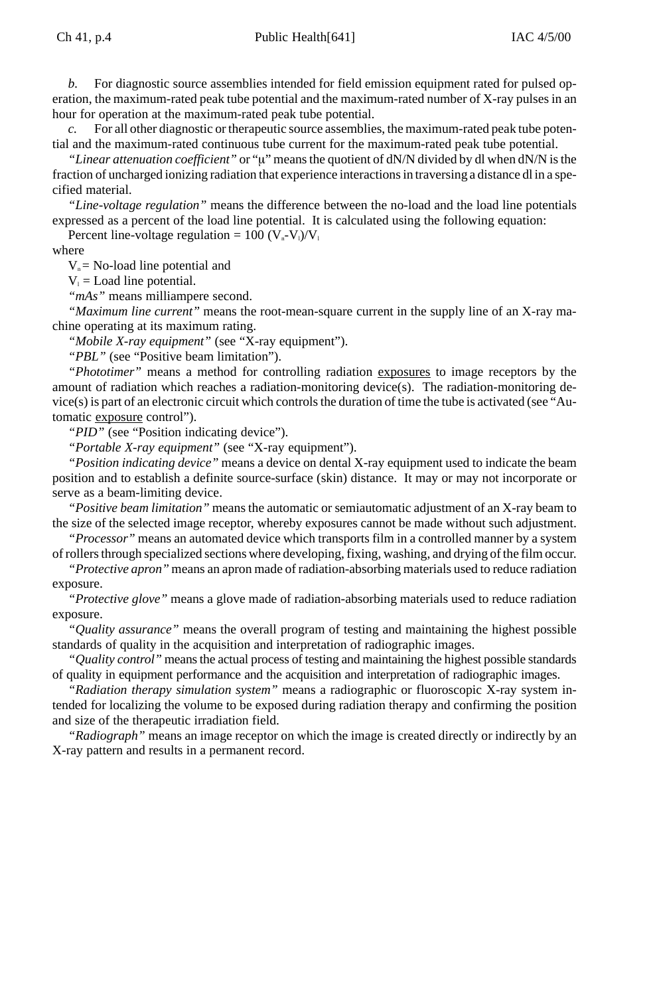hour for operation at the maximum-rated peak tube potential. For all other diagnostic or therapeutic source assemblies, the maximum-rated peak tube potential and the maximum-rated continuous tube current for the maximum-rated peak tube potential.

"*Linear attenuation coefficient*" or "µ" means the quotient of dN/N divided by dl when dN/N is the fraction of uncharged ionizing radiation that experience interactions in traversing a distance dl in a specified material.

*"Line-voltage regulation"* means the difference between the no-load and the load line potentials expressed as a percent of the load line potential. It is calculated using the following equation:

Percent line-voltage regulation =  $100 (V<sub>n</sub>-V<sub>1</sub>)/V<sub>1</sub>$ 

where

 $V_n = No$ -load line potential and

 $V_1$  = Load line potential.

*"mAs"* means milliampere second.

*"Maximum line current"* means the root-mean-square current in the supply line of an X-ray machine operating at its maximum rating.

*"Mobile X-ray equipment"* (see "X-ray equipment").

*"PBL"* (see "Positive beam limitation").

*"Phototimer"* means a method for controlling radiation exposures to image receptors by the amount of radiation which reaches a radiation-monitoring device(s). The radiation-monitoring device(s) is part of an electronic circuit which controls the duration of time the tube is activated (see "Automatic exposure control").

*"PID"* (see "Position indicating device").

*"Portable X-ray equipment"* (see "X-ray equipment").

*"Position indicating device"* means a device on dental X-ray equipment used to indicate the beam position and to establish a definite source-surface (skin) distance. It may or may not incorporate or serve as a beam-limiting device.

*"Positive beam limitation"* means the automatic or semiautomatic adjustment of an X-ray beam to the size of the selected image receptor, whereby exposures cannot be made without such adjustment.

*"Processor"* means an automated device which transports film in a controlled manner by a system of rollers through specialized sections where developing, fixing, washing, and drying of the film occur.

*"Protective apron"* means an apron made of radiation-absorbing materials used to reduce radiation exposure.

*"Protective glove"* means a glove made of radiation-absorbing materials used to reduce radiation exposure.

*"Quality assurance"* means the overall program of testing and maintaining the highest possible standards of quality in the acquisition and interpretation of radiographic images.

*"Quality control"* means the actual process of testing and maintaining the highest possible standards of quality in equipment performance and the acquisition and interpretation of radiographic images.

*"Radiation therapy simulation system"* means a radiographic or fluoroscopic X-ray system intended for localizing the volume to be exposed during radiation therapy and confirming the position and size of the therapeutic irradiation field.

*"Radiograph"* means an image receptor on which the image is created directly or indirectly by an X-ray pattern and results in a permanent record.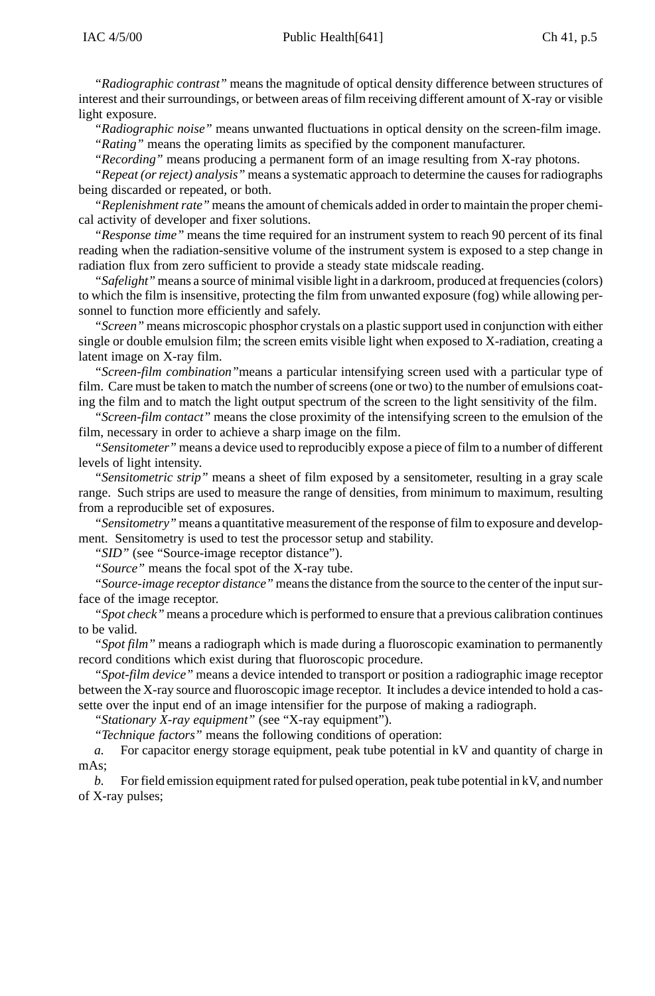*"Radiographic contrast"* means the magnitude of optical density difference between structures of interest and their surroundings, or between areas of film receiving different amount of X-ray or visible light exposure.

*"Radiographic noise"* means unwanted fluctuations in optical density on the screen-film image. *"Rating"* means the operating limits as specified by the component manufacturer.

*"Recording"* means producing a permanent form of an image resulting from X-ray photons.

*"Repeat (or reject) analysis"* means a systematic approach to determine the causes for radiographs being discarded or repeated, or both.

*"Replenishment rate"* means the amount of chemicals added in order to maintain the proper chemical activity of developer and fixer solutions.

*"Response time"* means the time required for an instrument system to reach 90 percent of its final reading when the radiation-sensitive volume of the instrument system is exposed to a step change in radiation flux from zero sufficient to provide a steady state midscale reading.

*"Safelight"* means a source of minimal visible light in a darkroom, produced at frequencies (colors) to which the film is insensitive, protecting the film from unwanted exposure (fog) while allowing personnel to function more efficiently and safely.

*"Screen"* means microscopic phosphor crystals on a plastic support used in conjunction with either single or double emulsion film; the screen emits visible light when exposed to X-radiation, creating a latent image on X-ray film.

*"Screen-film combination"*means a particular intensifying screen used with a particular type of film. Care must be taken to match the number of screens (one or two) to the number of emulsions coating the film and to match the light output spectrum of the screen to the light sensitivity of the film.

*"Screen-film contact"* means the close proximity of the intensifying screen to the emulsion of the film, necessary in order to achieve a sharp image on the film.

*"Sensitometer"* means a device used to reproducibly expose a piece of film to a number of different levels of light intensity.

*"Sensitometric strip"* means a sheet of film exposed by a sensitometer, resulting in a gray scale range. Such strips are used to measure the range of densities, from minimum to maximum, resulting from a reproducible set of exposures.

*"Sensitometry"* means a quantitative measurement of the response of film to exposure and development. Sensitometry is used to test the processor setup and stability.

*"SID"* (see "Source-image receptor distance").

*"Source"* means the focal spot of the X-ray tube.

*"Source-image receptor distance"* means the distance from the source to the center of the input surface of the image receptor.

*"Spot check"* means a procedure which is performed to ensure that a previous calibration continues to be valid.

*"Spot film"* means a radiograph which is made during a fluoroscopic examination to permanently record conditions which exist during that fluoroscopic procedure.

*"Spot-film device"* means a device intended to transport or position a radiographic image receptor between the X-ray source and fluoroscopic image receptor. It includes a device intended to hold a cassette over the input end of an image intensifier for the purpose of making a radiograph.

*"Stationary X-ray equipment"* (see "X-ray equipment").

*"Technique factors"* means the following conditions of operation:

*a.* For capacitor energy storage equipment, peak tube potential in kV and quantity of charge in mAs;

*b.* For field emission equipment rated for pulsed operation, peak tube potential in kV, and number of X-ray pulses;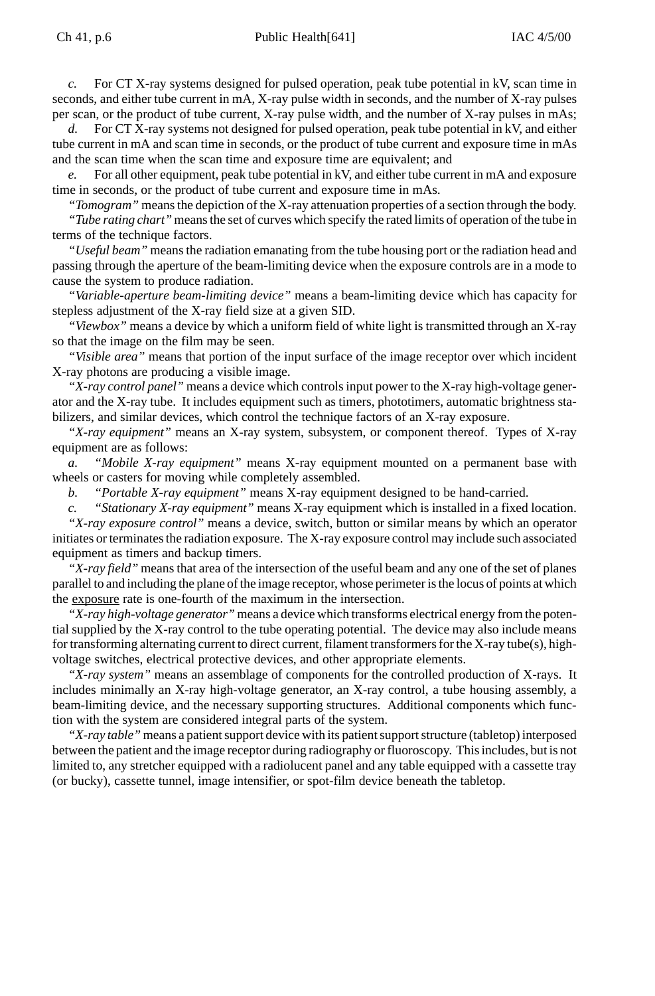*c.* For CT X-ray systems designed for pulsed operation, peak tube potential in kV, scan time in seconds, and either tube current in mA, X-ray pulse width in seconds, and the number of X-ray pulses per scan, or the product of tube current, X-ray pulse width, and the number of X-ray pulses in mAs;

*d.* For CT X-ray systems not designed for pulsed operation, peak tube potential in kV, and either tube current in mA and scan time in seconds, or the product of tube current and exposure time in mAs and the scan time when the scan time and exposure time are equivalent; and

For all other equipment, peak tube potential in kV, and either tube current in mA and exposure time in seconds, or the product of tube current and exposure time in mAs.

*"Tomogram"* means the depiction of the X-ray attenuation properties of a section through the body.

*"Tube rating chart"* means the set of curves which specify the rated limits of operation of the tube in terms of the technique factors.

*"Useful beam"* means the radiation emanating from the tube housing port or the radiation head and passing through the aperture of the beam-limiting device when the exposure controls are in a mode to cause the system to produce radiation.

*"Variable-aperture beam-limiting device"* means a beam-limiting device which has capacity for stepless adjustment of the X-ray field size at a given SID.

*"Viewbox"* means a device by which a uniform field of white light is transmitted through an X-ray so that the image on the film may be seen.

*"Visible area"* means that portion of the input surface of the image receptor over which incident X-ray photons are producing a visible image.

*"X-ray control panel"* means a device which controls input power to the X-ray high-voltage generator and the X-ray tube. It includes equipment such as timers, phototimers, automatic brightness stabilizers, and similar devices, which control the technique factors of an X-ray exposure.

*"X-ray equipment"* means an X-ray system, subsystem, or component thereof. Types of X-ray equipment are as follows:

*a. "Mobile X-ray equipment"* means X-ray equipment mounted on a permanent base with wheels or casters for moving while completely assembled.

*b. "Portable X-ray equipment"* means X-ray equipment designed to be hand-carried.

*c. "Stationary X-ray equipment"* means X-ray equipment which is installed in a fixed location. *"X-ray exposure control"* means a device, switch, button or similar means by which an operator initiates or terminates the radiation exposure. The X-ray exposure control may include such associated equipment as timers and backup timers.

*"X-ray field"* means that area of the intersection of the useful beam and any one of the set of planes parallel to and including the plane of the image receptor, whose perimeter is the locus of points at which the exposure rate is one-fourth of the maximum in the intersection.

*"X-ray high-voltage generator"* means a device which transforms electrical energy from the potential supplied by the X-ray control to the tube operating potential. The device may also include means for transforming alternating current to direct current, filament transformers for the X-ray tube(s), highvoltage switches, electrical protective devices, and other appropriate elements.

*"X-ray system"* means an assemblage of components for the controlled production of X-rays. It includes minimally an X-ray high-voltage generator, an X-ray control, a tube housing assembly, a beam-limiting device, and the necessary supporting structures. Additional components which function with the system are considered integral parts of the system.

*"X-ray table"* means a patient support device with its patient support structure (tabletop) interposed between the patient and the image receptor during radiography or fluoroscopy. This includes, but is not limited to, any stretcher equipped with a radiolucent panel and any table equipped with a cassette tray (or bucky), cassette tunnel, image intensifier, or spot-film device beneath the tabletop.